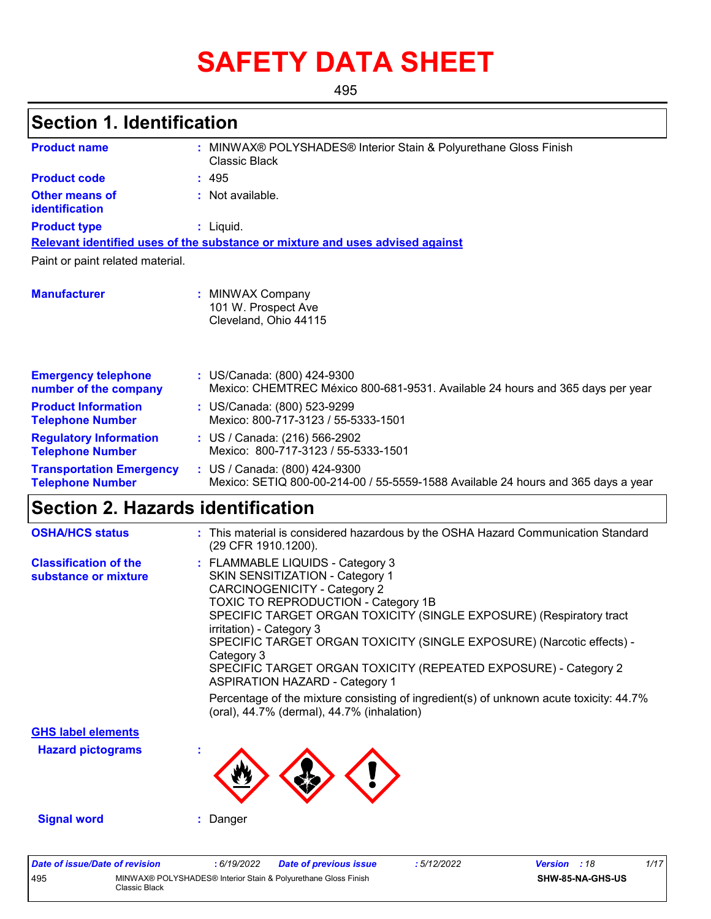# **SAFETY DATA SHEET**

495

# **Section 1. Identification**

| <b>Product name</b>                                        | : MINWAX® POLYSHADES® Interior Stain & Polyurethane Gloss Finish<br>Classic Black                                  |
|------------------------------------------------------------|--------------------------------------------------------------------------------------------------------------------|
| <b>Product code</b>                                        | : 495                                                                                                              |
| <b>Other means of</b><br>identification                    | : Not available.                                                                                                   |
| <b>Product type</b>                                        | : Liquid.                                                                                                          |
|                                                            | Relevant identified uses of the substance or mixture and uses advised against                                      |
| Paint or paint related material.                           |                                                                                                                    |
| <b>Manufacturer</b>                                        | <b>MINWAX Company</b><br>101 W. Prospect Ave<br>Cleveland, Ohio 44115                                              |
| <b>Emergency telephone</b><br>number of the company        | : US/Canada: (800) 424-9300<br>Mexico: CHEMTREC México 800-681-9531. Available 24 hours and 365 days per year      |
| <b>Product Information</b><br><b>Telephone Number</b>      | : US/Canada: (800) 523-9299<br>Mexico: 800-717-3123 / 55-5333-1501                                                 |
| <b>Regulatory Information</b><br><b>Telephone Number</b>   | : US / Canada: (216) 566-2902<br>Mexico: 800-717-3123 / 55-5333-1501                                               |
| <b>Transportation Emergency</b><br><b>Telephone Number</b> | : US / Canada: (800) 424-9300<br>Mexico: SETIQ 800-00-214-00 / 55-5559-1588 Available 24 hours and 365 days a year |

## **Section 2. Hazards identification**

| <b>OSHA/HCS status</b>                               | : This material is considered hazardous by the OSHA Hazard Communication Standard<br>(29 CFR 1910.1200).                                                                                                                                                                                                                                                                                                                                                                                                                                                                                        |
|------------------------------------------------------|-------------------------------------------------------------------------------------------------------------------------------------------------------------------------------------------------------------------------------------------------------------------------------------------------------------------------------------------------------------------------------------------------------------------------------------------------------------------------------------------------------------------------------------------------------------------------------------------------|
| <b>Classification of the</b><br>substance or mixture | : FLAMMABLE LIQUIDS - Category 3<br>SKIN SENSITIZATION - Category 1<br><b>CARCINOGENICITY - Category 2</b><br>TOXIC TO REPRODUCTION - Category 1B<br>SPECIFIC TARGET ORGAN TOXICITY (SINGLE EXPOSURE) (Respiratory tract<br>irritation) - Category 3<br>SPECIFIC TARGET ORGAN TOXICITY (SINGLE EXPOSURE) (Narcotic effects) -<br>Category 3<br>SPECIFIC TARGET ORGAN TOXICITY (REPEATED EXPOSURE) - Category 2<br><b>ASPIRATION HAZARD - Category 1</b><br>Percentage of the mixture consisting of ingredient(s) of unknown acute toxicity: 44.7%<br>(oral), 44.7% (dermal), 44.7% (inhalation) |
| <b>GHS label elements</b>                            |                                                                                                                                                                                                                                                                                                                                                                                                                                                                                                                                                                                                 |
| <b>Hazard pictograms</b>                             |                                                                                                                                                                                                                                                                                                                                                                                                                                                                                                                                                                                                 |
| <b>Signal word</b>                                   | Danger                                                                                                                                                                                                                                                                                                                                                                                                                                                                                                                                                                                          |

| Date of issue/Date of revision |                                                                                 | : 6/19/2022 | <b>Date of previous issue</b> | : 5/12/2022 | <b>Version</b> : 18 |                  | 1/17 |
|--------------------------------|---------------------------------------------------------------------------------|-------------|-------------------------------|-------------|---------------------|------------------|------|
| 495                            | MINWAX® POLYSHADES® Interior Stain & Polyurethane Gloss Finish<br>Classic Black |             |                               |             |                     | SHW-85-NA-GHS-US |      |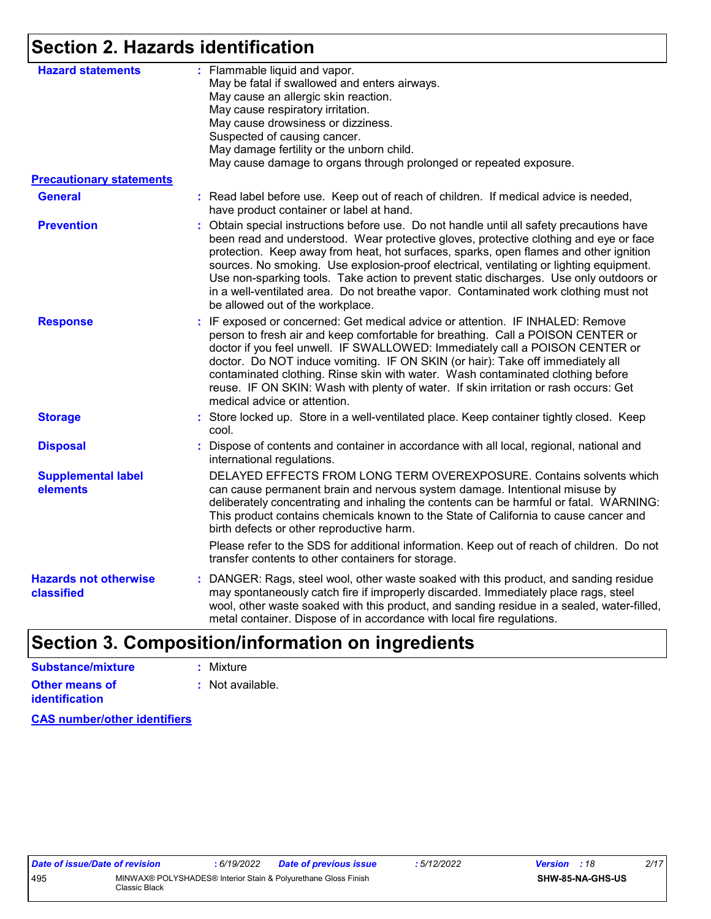# **Section 2. Hazards identification**

| <b>Hazard statements</b>                   | : Flammable liquid and vapor.<br>May be fatal if swallowed and enters airways.<br>May cause an allergic skin reaction.<br>May cause respiratory irritation.<br>May cause drowsiness or dizziness.<br>Suspected of causing cancer.<br>May damage fertility or the unborn child.<br>May cause damage to organs through prolonged or repeated exposure.                                                                                                                                                                                                                                         |
|--------------------------------------------|----------------------------------------------------------------------------------------------------------------------------------------------------------------------------------------------------------------------------------------------------------------------------------------------------------------------------------------------------------------------------------------------------------------------------------------------------------------------------------------------------------------------------------------------------------------------------------------------|
| <b>Precautionary statements</b>            |                                                                                                                                                                                                                                                                                                                                                                                                                                                                                                                                                                                              |
| <b>General</b>                             | : Read label before use. Keep out of reach of children. If medical advice is needed,<br>have product container or label at hand.                                                                                                                                                                                                                                                                                                                                                                                                                                                             |
| <b>Prevention</b>                          | : Obtain special instructions before use. Do not handle until all safety precautions have<br>been read and understood. Wear protective gloves, protective clothing and eye or face<br>protection. Keep away from heat, hot surfaces, sparks, open flames and other ignition<br>sources. No smoking. Use explosion-proof electrical, ventilating or lighting equipment.<br>Use non-sparking tools. Take action to prevent static discharges. Use only outdoors or<br>in a well-ventilated area. Do not breathe vapor. Contaminated work clothing must not<br>be allowed out of the workplace. |
| <b>Response</b>                            | : IF exposed or concerned: Get medical advice or attention. IF INHALED: Remove<br>person to fresh air and keep comfortable for breathing. Call a POISON CENTER or<br>doctor if you feel unwell. IF SWALLOWED: Immediately call a POISON CENTER or<br>doctor. Do NOT induce vomiting. IF ON SKIN (or hair): Take off immediately all<br>contaminated clothing. Rinse skin with water. Wash contaminated clothing before<br>reuse. IF ON SKIN: Wash with plenty of water. If skin irritation or rash occurs: Get<br>medical advice or attention.                                               |
| <b>Storage</b>                             | : Store locked up. Store in a well-ventilated place. Keep container tightly closed. Keep<br>cool.                                                                                                                                                                                                                                                                                                                                                                                                                                                                                            |
| <b>Disposal</b>                            | : Dispose of contents and container in accordance with all local, regional, national and<br>international regulations.                                                                                                                                                                                                                                                                                                                                                                                                                                                                       |
| <b>Supplemental label</b><br>elements      | DELAYED EFFECTS FROM LONG TERM OVEREXPOSURE. Contains solvents which<br>can cause permanent brain and nervous system damage. Intentional misuse by<br>deliberately concentrating and inhaling the contents can be harmful or fatal. WARNING:<br>This product contains chemicals known to the State of California to cause cancer and<br>birth defects or other reproductive harm.                                                                                                                                                                                                            |
|                                            | Please refer to the SDS for additional information. Keep out of reach of children. Do not<br>transfer contents to other containers for storage.                                                                                                                                                                                                                                                                                                                                                                                                                                              |
| <b>Hazards not otherwise</b><br>classified | : DANGER: Rags, steel wool, other waste soaked with this product, and sanding residue<br>may spontaneously catch fire if improperly discarded. Immediately place rags, steel<br>wool, other waste soaked with this product, and sanding residue in a sealed, water-filled,<br>metal container. Dispose of in accordance with local fire regulations.                                                                                                                                                                                                                                         |
|                                            |                                                                                                                                                                                                                                                                                                                                                                                                                                                                                                                                                                                              |

# **Section 3. Composition/information on ingredients**

| Substance/mixture     | : Mixture        |
|-----------------------|------------------|
| <b>Other means of</b> | : Not available. |
| <b>identification</b> |                  |

**CAS number/other identifiers**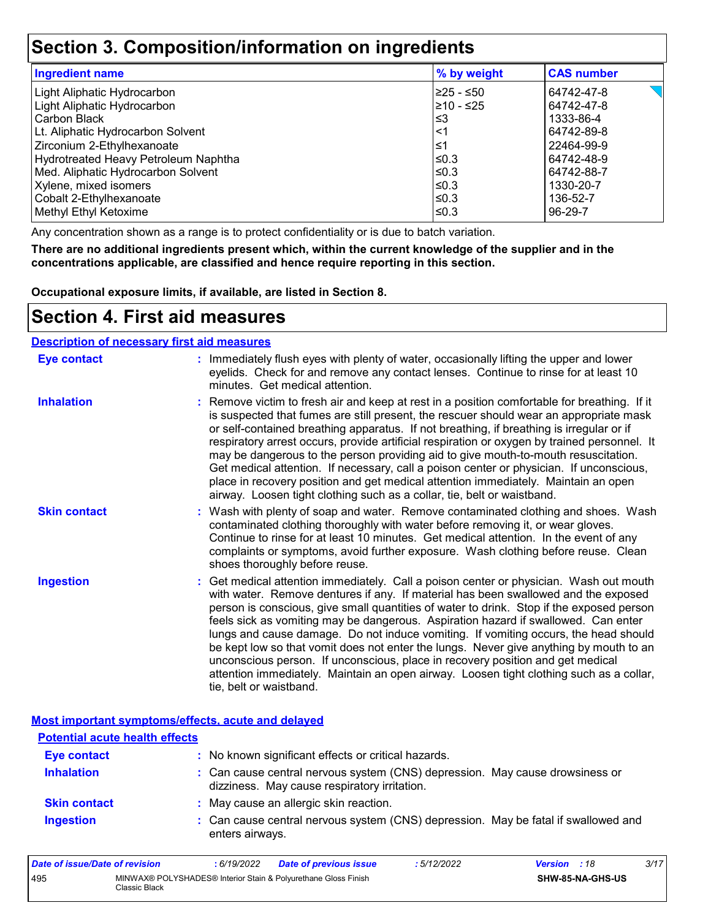### **Section 3. Composition/information on ingredients**

| <b>Ingredient name</b>               | % by weight | <b>CAS number</b> |
|--------------------------------------|-------------|-------------------|
| Light Aliphatic Hydrocarbon          | l≥25 - ≤50  | 64742-47-8        |
| Light Aliphatic Hydrocarbon          | l≥10 - ≤25  | 64742-47-8        |
| Carbon Black                         | l≤3         | 1333-86-4         |
| Lt. Aliphatic Hydrocarbon Solvent    | ∣<1         | 64742-89-8        |
| Zirconium 2-Ethylhexanoate           | 1≤ا         | 22464-99-9        |
| Hydrotreated Heavy Petroleum Naphtha | l≤0.3       | 64742-48-9        |
| Med. Aliphatic Hydrocarbon Solvent   | l≤0.3       | 64742-88-7        |
| Xylene, mixed isomers                | ≤0.3        | 1330-20-7         |
| Cobalt 2-Ethylhexanoate              | $\leq 0.3$  | 136-52-7          |
| Methyl Ethyl Ketoxime                | ≤0.3        | 96-29-7           |

Any concentration shown as a range is to protect confidentiality or is due to batch variation.

**There are no additional ingredients present which, within the current knowledge of the supplier and in the concentrations applicable, are classified and hence require reporting in this section.**

**Occupational exposure limits, if available, are listed in Section 8.**

### **Section 4. First aid measures**

| <b>Description of necessary first aid measures</b> |                                                                                                                                                                                                                                                                                                                                                                                                                                                                                                                                                                                                                                                                                                                                                         |
|----------------------------------------------------|---------------------------------------------------------------------------------------------------------------------------------------------------------------------------------------------------------------------------------------------------------------------------------------------------------------------------------------------------------------------------------------------------------------------------------------------------------------------------------------------------------------------------------------------------------------------------------------------------------------------------------------------------------------------------------------------------------------------------------------------------------|
| <b>Eye contact</b>                                 | : Immediately flush eyes with plenty of water, occasionally lifting the upper and lower<br>eyelids. Check for and remove any contact lenses. Continue to rinse for at least 10<br>minutes. Get medical attention.                                                                                                                                                                                                                                                                                                                                                                                                                                                                                                                                       |
| <b>Inhalation</b>                                  | : Remove victim to fresh air and keep at rest in a position comfortable for breathing. If it<br>is suspected that fumes are still present, the rescuer should wear an appropriate mask<br>or self-contained breathing apparatus. If not breathing, if breathing is irregular or if<br>respiratory arrest occurs, provide artificial respiration or oxygen by trained personnel. It<br>may be dangerous to the person providing aid to give mouth-to-mouth resuscitation.<br>Get medical attention. If necessary, call a poison center or physician. If unconscious,<br>place in recovery position and get medical attention immediately. Maintain an open<br>airway. Loosen tight clothing such as a collar, tie, belt or waistband.                    |
| <b>Skin contact</b>                                | : Wash with plenty of soap and water. Remove contaminated clothing and shoes. Wash<br>contaminated clothing thoroughly with water before removing it, or wear gloves.<br>Continue to rinse for at least 10 minutes. Get medical attention. In the event of any<br>complaints or symptoms, avoid further exposure. Wash clothing before reuse. Clean<br>shoes thoroughly before reuse.                                                                                                                                                                                                                                                                                                                                                                   |
| <b>Ingestion</b>                                   | : Get medical attention immediately. Call a poison center or physician. Wash out mouth<br>with water. Remove dentures if any. If material has been swallowed and the exposed<br>person is conscious, give small quantities of water to drink. Stop if the exposed person<br>feels sick as vomiting may be dangerous. Aspiration hazard if swallowed. Can enter<br>lungs and cause damage. Do not induce vomiting. If vomiting occurs, the head should<br>be kept low so that vomit does not enter the lungs. Never give anything by mouth to an<br>unconscious person. If unconscious, place in recovery position and get medical<br>attention immediately. Maintain an open airway. Loosen tight clothing such as a collar,<br>tie, belt or waistband. |

#### **Most important symptoms/effects, acute and delayed**

| <b>Potential acute health effects</b> |                                                                                                                              |
|---------------------------------------|------------------------------------------------------------------------------------------------------------------------------|
| <b>Eye contact</b>                    | : No known significant effects or critical hazards.                                                                          |
| <b>Inhalation</b>                     | : Can cause central nervous system (CNS) depression. May cause drowsiness or<br>dizziness. May cause respiratory irritation. |
| <b>Skin contact</b>                   | : May cause an allergic skin reaction.                                                                                       |
| <b>Ingestion</b>                      | : Can cause central nervous system (CNS) depression. May be fatal if swallowed and<br>enters airways.                        |

| Date of issue/Date of revision |                                                                                 | : 6/19/2022 | <b>Date of previous issue</b> | : 5/12/2022 | <b>Version</b> : 18 |                         | 3/17 |
|--------------------------------|---------------------------------------------------------------------------------|-------------|-------------------------------|-------------|---------------------|-------------------------|------|
| 495                            | MINWAX® POLYSHADES® Interior Stain & Polyurethane Gloss Finish<br>Classic Black |             |                               |             |                     | <b>SHW-85-NA-GHS-US</b> |      |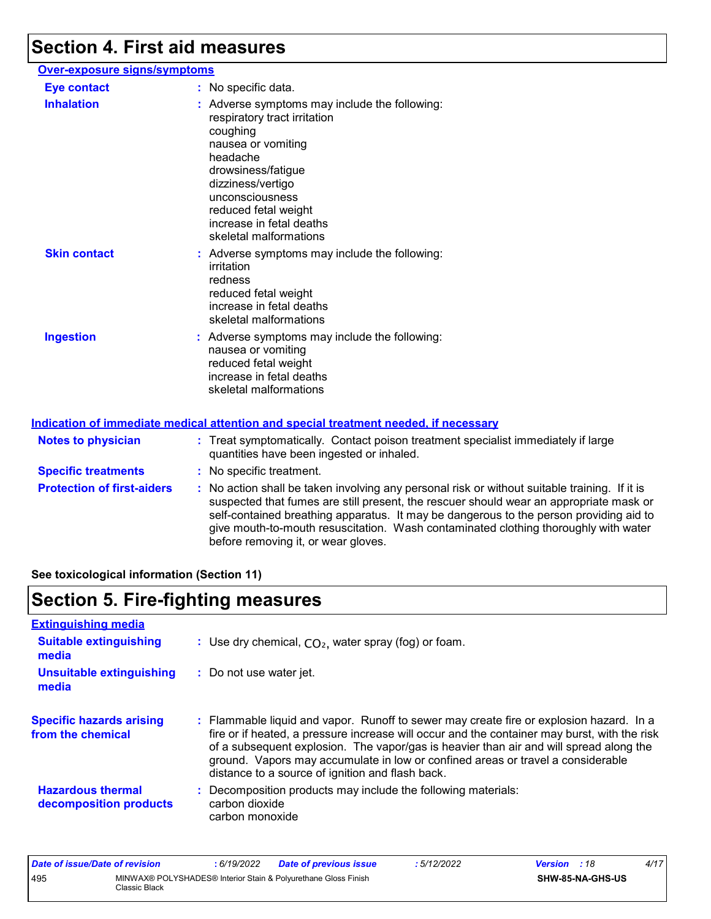# **Section 4. First aid measures**

| Over-exposure signs/symptoms |                                                                                                                                                                                                                                                                         |
|------------------------------|-------------------------------------------------------------------------------------------------------------------------------------------------------------------------------------------------------------------------------------------------------------------------|
| <b>Eye contact</b>           | : No specific data.                                                                                                                                                                                                                                                     |
| <b>Inhalation</b>            | : Adverse symptoms may include the following:<br>respiratory tract irritation<br>coughing<br>nausea or vomiting<br>headache<br>drowsiness/fatigue<br>dizziness/vertigo<br>unconsciousness<br>reduced fetal weight<br>increase in fetal deaths<br>skeletal malformations |
| <b>Skin contact</b>          | : Adverse symptoms may include the following:<br>irritation<br>redness<br>reduced fetal weight<br>increase in fetal deaths<br>skeletal malformations                                                                                                                    |
| <b>Ingestion</b>             | : Adverse symptoms may include the following:<br>nausea or vomiting<br>reduced fetal weight<br>increase in fetal deaths<br>skeletal malformations                                                                                                                       |
|                              | <b>Indication of immediate medical attention and special treatment needed, if necessary</b>                                                                                                                                                                             |
| Natos to physician           | Exact experience Contact poison tractment epocialist immor-                                                                                                                                                                                                             |

| <b>Notes to physician</b>         | : Treat symptomatically. Contact poison treatment specialist immediately if large<br>quantities have been ingested or inhaled.                                                                                                                                                                                                                                                                                  |
|-----------------------------------|-----------------------------------------------------------------------------------------------------------------------------------------------------------------------------------------------------------------------------------------------------------------------------------------------------------------------------------------------------------------------------------------------------------------|
| <b>Specific treatments</b>        | : No specific treatment.                                                                                                                                                                                                                                                                                                                                                                                        |
| <b>Protection of first-aiders</b> | : No action shall be taken involving any personal risk or without suitable training. If it is<br>suspected that fumes are still present, the rescuer should wear an appropriate mask or<br>self-contained breathing apparatus. It may be dangerous to the person providing aid to<br>give mouth-to-mouth resuscitation. Wash contaminated clothing thoroughly with water<br>before removing it, or wear gloves. |

**See toxicological information (Section 11)**

# **Section 5. Fire-fighting measures**

| <b>Extinguishing media</b>                           |                                                                                                                                                                                                                                                                                                                                                                                                                          |
|------------------------------------------------------|--------------------------------------------------------------------------------------------------------------------------------------------------------------------------------------------------------------------------------------------------------------------------------------------------------------------------------------------------------------------------------------------------------------------------|
| <b>Suitable extinguishing</b><br>media               | : Use dry chemical, $CO2$ , water spray (fog) or foam.                                                                                                                                                                                                                                                                                                                                                                   |
| Unsuitable extinguishing<br>media                    | : Do not use water jet.                                                                                                                                                                                                                                                                                                                                                                                                  |
| <b>Specific hazards arising</b><br>from the chemical | : Flammable liquid and vapor. Runoff to sewer may create fire or explosion hazard. In a<br>fire or if heated, a pressure increase will occur and the container may burst, with the risk<br>of a subsequent explosion. The vapor/gas is heavier than air and will spread along the<br>ground. Vapors may accumulate in low or confined areas or travel a considerable<br>distance to a source of ignition and flash back. |
| <b>Hazardous thermal</b><br>decomposition products   | Decomposition products may include the following materials:<br>carbon dioxide<br>carbon monoxide                                                                                                                                                                                                                                                                                                                         |

| Date of issue/Date of revision |                                                                                 | : 6/19/2022 | <b>Date of previous issue</b> | 5/12/2022 | <b>Version</b> : 18 |                         | 4/17 |
|--------------------------------|---------------------------------------------------------------------------------|-------------|-------------------------------|-----------|---------------------|-------------------------|------|
| 495                            | MINWAX® POLYSHADES® Interior Stain & Polyurethane Gloss Finish<br>Classic Black |             |                               |           |                     | <b>SHW-85-NA-GHS-US</b> |      |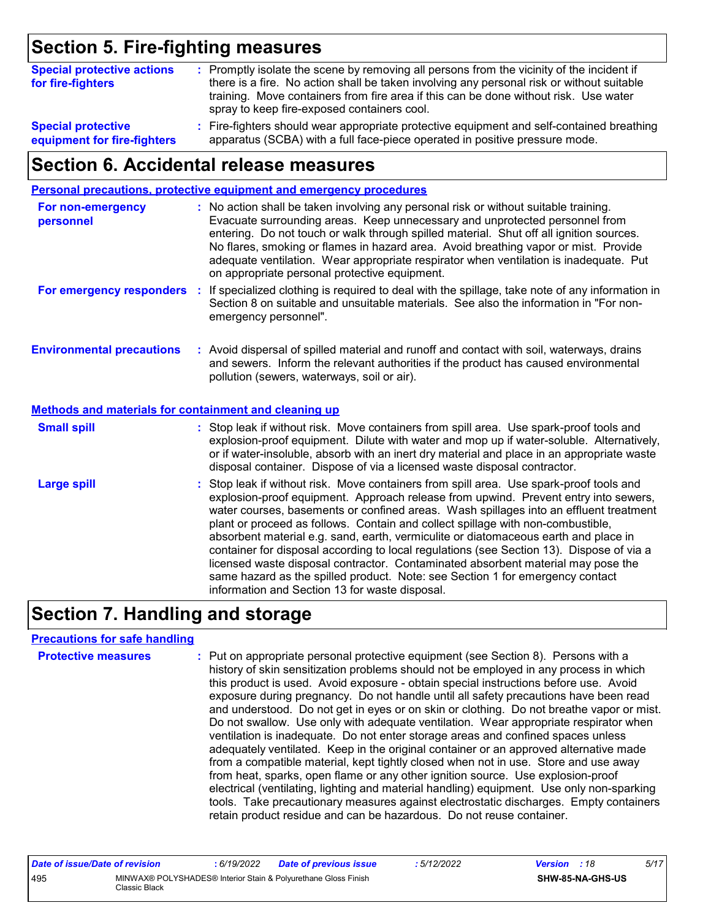# **Section 5. Fire-fighting measures**

| <b>Special protective actions</b><br>for fire-fighters | : Promptly isolate the scene by removing all persons from the vicinity of the incident if<br>there is a fire. No action shall be taken involving any personal risk or without suitable<br>training. Move containers from fire area if this can be done without risk. Use water<br>spray to keep fire-exposed containers cool. |
|--------------------------------------------------------|-------------------------------------------------------------------------------------------------------------------------------------------------------------------------------------------------------------------------------------------------------------------------------------------------------------------------------|
| <b>Special protective</b>                              | : Fire-fighters should wear appropriate protective equipment and self-contained breathing                                                                                                                                                                                                                                     |
| equipment for fire-fighters                            | apparatus (SCBA) with a full face-piece operated in positive pressure mode.                                                                                                                                                                                                                                                   |

### **Section 6. Accidental release measures**

|                                                              | Personal precautions, protective equipment and emergency procedures                                                                                                                                                                                                                                                                                                                                                                                                                                                                                                                                                                                                                                                                                                  |
|--------------------------------------------------------------|----------------------------------------------------------------------------------------------------------------------------------------------------------------------------------------------------------------------------------------------------------------------------------------------------------------------------------------------------------------------------------------------------------------------------------------------------------------------------------------------------------------------------------------------------------------------------------------------------------------------------------------------------------------------------------------------------------------------------------------------------------------------|
| For non-emergency<br>personnel                               | : No action shall be taken involving any personal risk or without suitable training.<br>Evacuate surrounding areas. Keep unnecessary and unprotected personnel from<br>entering. Do not touch or walk through spilled material. Shut off all ignition sources.<br>No flares, smoking or flames in hazard area. Avoid breathing vapor or mist. Provide<br>adequate ventilation. Wear appropriate respirator when ventilation is inadequate. Put<br>on appropriate personal protective equipment.                                                                                                                                                                                                                                                                      |
| For emergency responders                                     | : If specialized clothing is required to deal with the spillage, take note of any information in<br>Section 8 on suitable and unsuitable materials. See also the information in "For non-<br>emergency personnel".                                                                                                                                                                                                                                                                                                                                                                                                                                                                                                                                                   |
| <b>Environmental precautions</b>                             | : Avoid dispersal of spilled material and runoff and contact with soil, waterways, drains<br>and sewers. Inform the relevant authorities if the product has caused environmental<br>pollution (sewers, waterways, soil or air).                                                                                                                                                                                                                                                                                                                                                                                                                                                                                                                                      |
| <b>Methods and materials for containment and cleaning up</b> |                                                                                                                                                                                                                                                                                                                                                                                                                                                                                                                                                                                                                                                                                                                                                                      |
| <b>Small spill</b>                                           | : Stop leak if without risk. Move containers from spill area. Use spark-proof tools and<br>explosion-proof equipment. Dilute with water and mop up if water-soluble. Alternatively,<br>or if water-insoluble, absorb with an inert dry material and place in an appropriate waste<br>disposal container. Dispose of via a licensed waste disposal contractor.                                                                                                                                                                                                                                                                                                                                                                                                        |
| <b>Large spill</b>                                           | : Stop leak if without risk. Move containers from spill area. Use spark-proof tools and<br>explosion-proof equipment. Approach release from upwind. Prevent entry into sewers,<br>water courses, basements or confined areas. Wash spillages into an effluent treatment<br>plant or proceed as follows. Contain and collect spillage with non-combustible,<br>absorbent material e.g. sand, earth, vermiculite or diatomaceous earth and place in<br>container for disposal according to local regulations (see Section 13). Dispose of via a<br>licensed waste disposal contractor. Contaminated absorbent material may pose the<br>same hazard as the spilled product. Note: see Section 1 for emergency contact<br>information and Section 13 for waste disposal. |

# **Section 7. Handling and storage**

#### **Precautions for safe handling**

| <b>Protective measures</b> | : Put on appropriate personal protective equipment (see Section 8). Persons with a<br>history of skin sensitization problems should not be employed in any process in which<br>this product is used. Avoid exposure - obtain special instructions before use. Avoid<br>exposure during pregnancy. Do not handle until all safety precautions have been read<br>and understood. Do not get in eyes or on skin or clothing. Do not breathe vapor or mist.<br>Do not swallow. Use only with adequate ventilation. Wear appropriate respirator when<br>ventilation is inadequate. Do not enter storage areas and confined spaces unless<br>adequately ventilated. Keep in the original container or an approved alternative made<br>from a compatible material, kept tightly closed when not in use. Store and use away<br>from heat, sparks, open flame or any other ignition source. Use explosion-proof<br>electrical (ventilating, lighting and material handling) equipment. Use only non-sparking |
|----------------------------|-----------------------------------------------------------------------------------------------------------------------------------------------------------------------------------------------------------------------------------------------------------------------------------------------------------------------------------------------------------------------------------------------------------------------------------------------------------------------------------------------------------------------------------------------------------------------------------------------------------------------------------------------------------------------------------------------------------------------------------------------------------------------------------------------------------------------------------------------------------------------------------------------------------------------------------------------------------------------------------------------------|
|                            | tools. Take precautionary measures against electrostatic discharges. Empty containers<br>retain product residue and can be hazardous. Do not reuse container.                                                                                                                                                                                                                                                                                                                                                                                                                                                                                                                                                                                                                                                                                                                                                                                                                                       |

| Date of issue/Date of revision |                                                                                 | : 6/19/2022 | <b>Date of previous issue</b> | : 5/12/2022 | <b>Version</b> : 18 |                         | 5/17 |
|--------------------------------|---------------------------------------------------------------------------------|-------------|-------------------------------|-------------|---------------------|-------------------------|------|
| 495                            | MINWAX® POLYSHADES® Interior Stain & Polyurethane Gloss Finish<br>Classic Black |             |                               |             |                     | <b>SHW-85-NA-GHS-US</b> |      |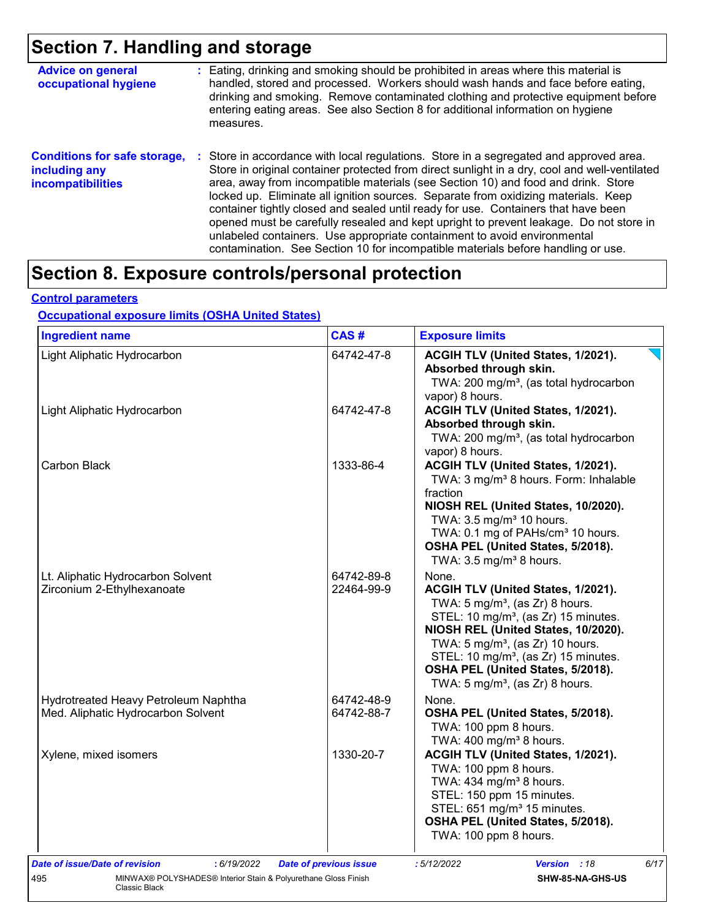# **Section 7. Handling and storage**

| <b>Advice on general</b><br>occupational hygiene                                 | : Eating, drinking and smoking should be prohibited in areas where this material is<br>handled, stored and processed. Workers should wash hands and face before eating,<br>drinking and smoking. Remove contaminated clothing and protective equipment before<br>entering eating areas. See also Section 8 for additional information on hygiene<br>measures.                                                                                                                                                                                                                                                                                                                                                    |
|----------------------------------------------------------------------------------|------------------------------------------------------------------------------------------------------------------------------------------------------------------------------------------------------------------------------------------------------------------------------------------------------------------------------------------------------------------------------------------------------------------------------------------------------------------------------------------------------------------------------------------------------------------------------------------------------------------------------------------------------------------------------------------------------------------|
| <b>Conditions for safe storage,</b><br>including any<br><b>incompatibilities</b> | Store in accordance with local regulations. Store in a segregated and approved area.<br>Store in original container protected from direct sunlight in a dry, cool and well-ventilated<br>area, away from incompatible materials (see Section 10) and food and drink. Store<br>locked up. Eliminate all ignition sources. Separate from oxidizing materials. Keep<br>container tightly closed and sealed until ready for use. Containers that have been<br>opened must be carefully resealed and kept upright to prevent leakage. Do not store in<br>unlabeled containers. Use appropriate containment to avoid environmental<br>contamination. See Section 10 for incompatible materials before handling or use. |

# **Section 8. Exposure controls/personal protection**

#### **Control parameters**

#### **Occupational exposure limits (OSHA United States)**

| <b>Ingredient name</b>                                                                 | CAS#                          | <b>Exposure limits</b>                                                                                                                                                                                                                                                                                                                                                      |  |  |
|----------------------------------------------------------------------------------------|-------------------------------|-----------------------------------------------------------------------------------------------------------------------------------------------------------------------------------------------------------------------------------------------------------------------------------------------------------------------------------------------------------------------------|--|--|
| Light Aliphatic Hydrocarbon                                                            | 64742-47-8                    | ACGIH TLV (United States, 1/2021).<br>Absorbed through skin.<br>TWA: 200 mg/m <sup>3</sup> , (as total hydrocarbon<br>vapor) 8 hours.                                                                                                                                                                                                                                       |  |  |
| Light Aliphatic Hydrocarbon                                                            | 64742-47-8                    | ACGIH TLV (United States, 1/2021).<br>Absorbed through skin.<br>TWA: 200 mg/m <sup>3</sup> , (as total hydrocarbon<br>vapor) 8 hours.                                                                                                                                                                                                                                       |  |  |
| <b>Carbon Black</b>                                                                    | 1333-86-4                     | ACGIH TLV (United States, 1/2021).<br>TWA: 3 mg/m <sup>3</sup> 8 hours. Form: Inhalable<br>fraction<br>NIOSH REL (United States, 10/2020).<br>TWA: 3.5 mg/m <sup>3</sup> 10 hours.<br>TWA: 0.1 mg of PAHs/cm <sup>3</sup> 10 hours.<br>OSHA PEL (United States, 5/2018).<br>TWA: $3.5 \text{ mg/m}^3$ 8 hours.                                                              |  |  |
| Lt. Aliphatic Hydrocarbon Solvent<br>Zirconium 2-Ethylhexanoate                        | 64742-89-8<br>22464-99-9      | None.<br>ACGIH TLV (United States, 1/2021).<br>TWA: $5 \text{ mg/m}^3$ , (as Zr) 8 hours.<br>STEL: 10 mg/m <sup>3</sup> , (as Zr) 15 minutes.<br>NIOSH REL (United States, 10/2020).<br>TWA: 5 mg/m <sup>3</sup> , (as Zr) 10 hours.<br>STEL: 10 mg/m <sup>3</sup> , (as Zr) 15 minutes.<br>OSHA PEL (United States, 5/2018).<br>TWA: $5 \text{ mg/m}^3$ , (as Zr) 8 hours. |  |  |
| Hydrotreated Heavy Petroleum Naphtha<br>Med. Aliphatic Hydrocarbon Solvent             | 64742-48-9<br>64742-88-7      | None.<br>OSHA PEL (United States, 5/2018).<br>TWA: 100 ppm 8 hours.<br>TWA: $400 \text{ mg/m}^3$ 8 hours.                                                                                                                                                                                                                                                                   |  |  |
| Xylene, mixed isomers                                                                  | 1330-20-7                     | ACGIH TLV (United States, 1/2021).<br>TWA: 100 ppm 8 hours.<br>TWA: 434 mg/m <sup>3</sup> 8 hours.<br>STEL: 150 ppm 15 minutes.<br>STEL: 651 mg/m <sup>3</sup> 15 minutes.<br>OSHA PEL (United States, 5/2018).<br>TWA: 100 ppm 8 hours.                                                                                                                                    |  |  |
| : 6/19/2022<br><b>Date of issue/Date of revision</b>                                   | <b>Date of previous issue</b> | :5/12/2022<br>6/17<br>Version : 18                                                                                                                                                                                                                                                                                                                                          |  |  |
| MINWAX® POLYSHADES® Interior Stain & Polyurethane Gloss Finish<br>495<br>Classic Black |                               | SHW-85-NA-GHS-US                                                                                                                                                                                                                                                                                                                                                            |  |  |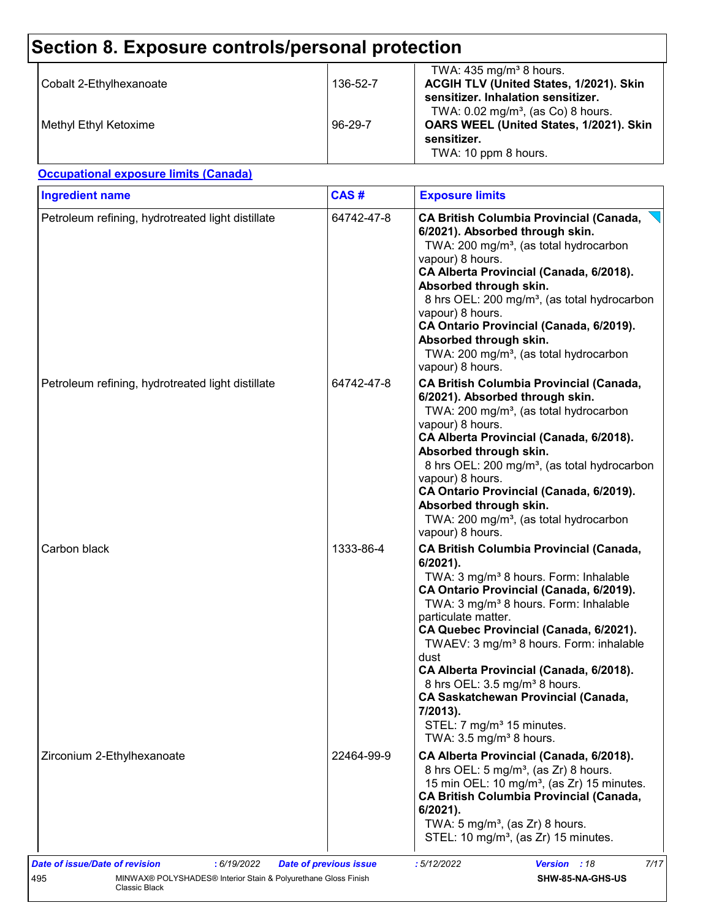#### **Section 8. Exposure controls/personal protection** TWA:  $435 \text{ mg/m}^3$  8 hours. Cobalt 2-Ethylhexanoate 136-52-7 **ACGIH TLV (United States, 1/2021). Skin sensitizer. Inhalation sensitizer.** TWA:  $0.02$  mg/m<sup>3</sup>, (as Co) 8 hours. Methyl Ethyl Ketoxime 96-29-7 **OARS WEEL (United States, 1/2021). Skin sensitizer.** TWA: 10 ppm 8 hours. Petroleum refining, hydrotreated light distillate | 64742-47-8 **CA British Columbia Provincial (Canada, 6/2021). Absorbed through skin.** TWA: 200 mg/m<sup>3</sup>, (as total hydrocarbon vapour) 8 hours. **CA Alberta Provincial (Canada, 6/2018). Absorbed through skin.** 8 hrs OEL: 200 mg/m<sup>3</sup>, (as total hydrocarbon vapour) 8 hours. **CA Ontario Provincial (Canada, 6/2019). Absorbed through skin.** TWA: 200 mg/m<sup>3</sup>, (as total hydrocarbon vapour) 8 hours. Petroleum refining, hydrotreated light distillate 64742-47-8 **CA British Columbia Provincial (Canada, 6/2021). Absorbed through skin.** TWA: 200 mg/m<sup>3</sup>, (as total hydrocarbon vapour) 8 hours. **CA Alberta Provincial (Canada, 6/2018). Absorbed through skin.** 8 hrs OEL: 200 mg/m<sup>3</sup>, (as total hydrocarbon vapour) 8 hours. **CA Ontario Provincial (Canada, 6/2019). Absorbed through skin.** TWA: 200 mg/m<sup>3</sup>, (as total hydrocarbon vapour) 8 hours. Carbon black 1333-86-4 **CA British Columbia Provincial (Canada, 6/2021).** TWA: 3 mg/m<sup>3</sup> 8 hours. Form: Inhalable **CA Ontario Provincial (Canada, 6/2019).** TWA: 3 mg/m<sup>3</sup> 8 hours. Form: Inhalable particulate matter. **CA Quebec Provincial (Canada, 6/2021).** TWAEV: 3 mg/m<sup>3</sup> 8 hours. Form: inhalable dust **CA Alberta Provincial (Canada, 6/2018).** 8 hrs OEL: 3.5 mg/m<sup>3</sup> 8 hours. **CA Saskatchewan Provincial (Canada, 7/2013).** STEL: 7 mg/m<sup>3</sup> 15 minutes. TWA:  $3.5 \text{ mg/m}^3$  8 hours. Zirconium 2-Ethylhexanoate 22464-99-9 **CA Alberta Provincial (Canada, 6/2018).** 8 hrs OEL:  $5 \text{ mg/m}^3$ , (as Zr) 8 hours. 15 min OEL: 10 mg/m<sup>3</sup>, (as Zr) 15 minutes. **CA British Columbia Provincial (Canada, 6/2021).** TWA:  $5 \text{ mg/m}^3$ , (as Zr) 8 hours. STEL:  $10 \text{ mg/m}^3$ , (as Zr) 15 minutes. **Ingredient name Exposure limits Exposure limits Occupational exposure limits (Canada) CAS #** *Date of issue/Date of revision* **:** *6/19/2022 Date of previous issue : 5/12/2022 Version : 18 7/17* 495 MINWAX® POLYSHADES® Interior Stain & Polyurethane Gloss Finish Classic Black **SHW-85-NA-GHS-US**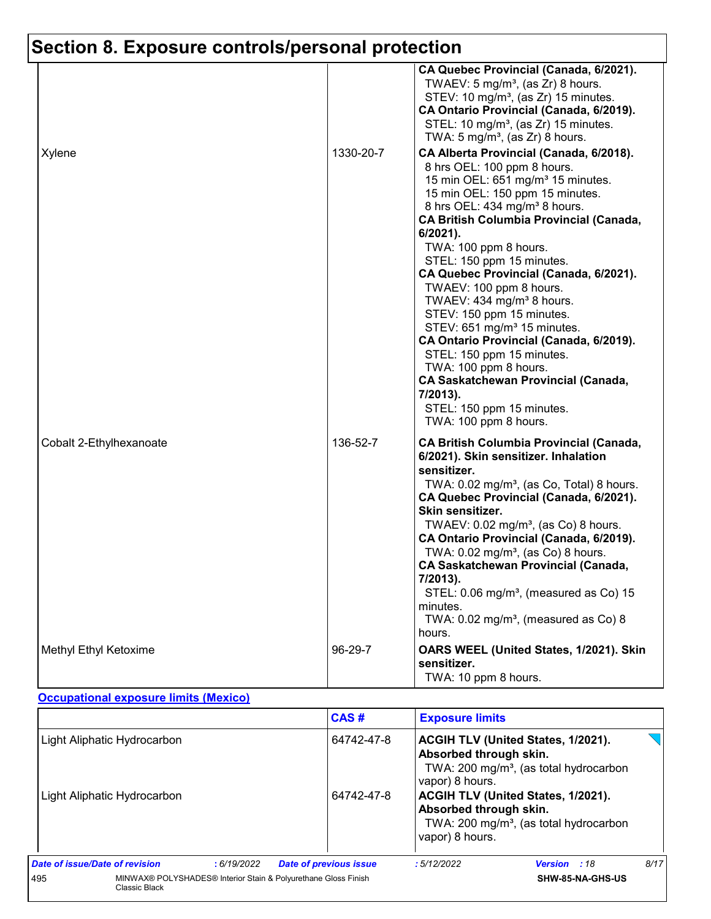# **Section 8. Exposure controls/personal protection**

|                         |           | CA Quebec Provincial (Canada, 6/2021).<br>TWAEV: 5 mg/m <sup>3</sup> , (as Zr) 8 hours.<br>STEV: 10 mg/m <sup>3</sup> , (as Zr) 15 minutes.<br>CA Ontario Provincial (Canada, 6/2019).<br>STEL: 10 mg/m <sup>3</sup> , (as Zr) 15 minutes.<br>TWA: 5 mg/m <sup>3</sup> , (as Zr) 8 hours.                                                                                                                                                                                                                                                                                                                                                                                                                                          |
|-------------------------|-----------|------------------------------------------------------------------------------------------------------------------------------------------------------------------------------------------------------------------------------------------------------------------------------------------------------------------------------------------------------------------------------------------------------------------------------------------------------------------------------------------------------------------------------------------------------------------------------------------------------------------------------------------------------------------------------------------------------------------------------------|
| Xylene                  | 1330-20-7 | CA Alberta Provincial (Canada, 6/2018).<br>8 hrs OEL: 100 ppm 8 hours.<br>15 min OEL: 651 mg/m <sup>3</sup> 15 minutes.<br>15 min OEL: 150 ppm 15 minutes.<br>8 hrs OEL: 434 mg/m <sup>3</sup> 8 hours.<br><b>CA British Columbia Provincial (Canada,</b><br>6/2021).<br>TWA: 100 ppm 8 hours.<br>STEL: 150 ppm 15 minutes.<br>CA Quebec Provincial (Canada, 6/2021).<br>TWAEV: 100 ppm 8 hours.<br>TWAEV: 434 mg/m <sup>3</sup> 8 hours.<br>STEV: 150 ppm 15 minutes.<br>STEV: 651 mg/m <sup>3</sup> 15 minutes.<br>CA Ontario Provincial (Canada, 6/2019).<br>STEL: 150 ppm 15 minutes.<br>TWA: 100 ppm 8 hours.<br><b>CA Saskatchewan Provincial (Canada,</b><br>7/2013).<br>STEL: 150 ppm 15 minutes.<br>TWA: 100 ppm 8 hours. |
| Cobalt 2-Ethylhexanoate | 136-52-7  | <b>CA British Columbia Provincial (Canada,</b><br>6/2021). Skin sensitizer. Inhalation<br>sensitizer.<br>TWA: 0.02 mg/m <sup>3</sup> , (as Co, Total) 8 hours.<br>CA Quebec Provincial (Canada, 6/2021).<br>Skin sensitizer.<br>TWAEV: $0.02$ mg/m <sup>3</sup> , (as Co) 8 hours.<br>CA Ontario Provincial (Canada, 6/2019).<br>TWA: 0.02 mg/m <sup>3</sup> , (as Co) 8 hours.<br><b>CA Saskatchewan Provincial (Canada,</b><br>7/2013).<br>STEL: 0.06 mg/m <sup>3</sup> , (measured as Co) 15<br>minutes.<br>TWA: 0.02 mg/m <sup>3</sup> , (measured as Co) 8<br>hours.                                                                                                                                                          |
| Methyl Ethyl Ketoxime   | 96-29-7   | OARS WEEL (United States, 1/2021). Skin<br>sensitizer.<br>TWA: 10 ppm 8 hours.                                                                                                                                                                                                                                                                                                                                                                                                                                                                                                                                                                                                                                                     |

#### **Occupational exposure limits (Mexico)**

|                                                                                        |  |            | CAS#                                                                                                                                                       |            | <b>Exposure limits</b>                                                                                                                       |                     |      |  |
|----------------------------------------------------------------------------------------|--|------------|------------------------------------------------------------------------------------------------------------------------------------------------------------|------------|----------------------------------------------------------------------------------------------------------------------------------------------|---------------------|------|--|
| Light Aliphatic Hydrocarbon<br>Light Aliphatic Hydrocarbon                             |  |            |                                                                                                                                                            | 64742-47-8 | <b>ACGIH TLV (United States, 1/2021).</b><br>Absorbed through skin.<br>TWA: 200 mg/m <sup>3</sup> , (as total hydrocarbon<br>vapor) 8 hours. |                     |      |  |
|                                                                                        |  |            | <b>ACGIH TLV (United States, 1/2021).</b><br>64742-47-8<br>Absorbed through skin.<br>TWA: 200 mg/m <sup>3</sup> , (as total hydrocarbon<br>vapor) 8 hours. |            |                                                                                                                                              |                     |      |  |
| Date of issue/Date of revision                                                         |  | :6/19/2022 | <b>Date of previous issue</b>                                                                                                                              |            | :5/12/2022                                                                                                                                   | <b>Version</b> : 18 | 8/17 |  |
| MINWAX® POLYSHADES® Interior Stain & Polyurethane Gloss Finish<br>495<br>Classic Black |  |            |                                                                                                                                                            |            | SHW-85-NA-GHS-US                                                                                                                             |                     |      |  |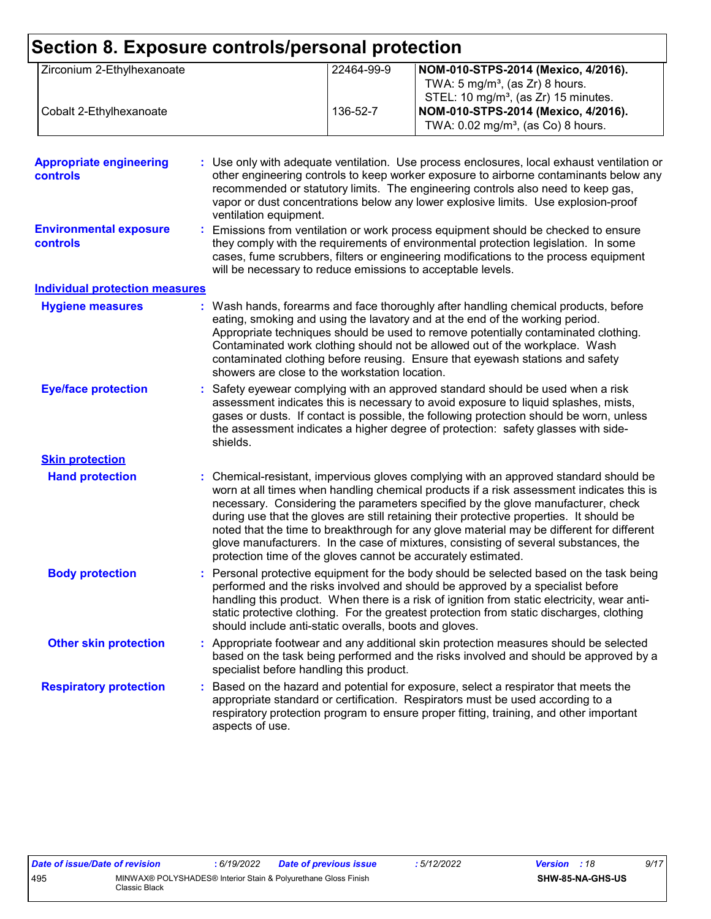| Zirconium 2-Ethylhexanoate                        |  |                                                             | 22464-99-9 | NOM-010-STPS-2014 (Mexico, 4/2016).                                                                                                                                                                                                                                                                                                                                                                                                                                                                                                                                                                                  |
|---------------------------------------------------|--|-------------------------------------------------------------|------------|----------------------------------------------------------------------------------------------------------------------------------------------------------------------------------------------------------------------------------------------------------------------------------------------------------------------------------------------------------------------------------------------------------------------------------------------------------------------------------------------------------------------------------------------------------------------------------------------------------------------|
|                                                   |  |                                                             |            | TWA: $5 \text{ mg/m}^3$ , (as Zr) 8 hours.<br>STEL: 10 mg/m <sup>3</sup> , (as Zr) 15 minutes.                                                                                                                                                                                                                                                                                                                                                                                                                                                                                                                       |
| Cobalt 2-Ethylhexanoate                           |  |                                                             | 136-52-7   | NOM-010-STPS-2014 (Mexico, 4/2016).<br>TWA: 0.02 mg/m <sup>3</sup> , (as Co) 8 hours.                                                                                                                                                                                                                                                                                                                                                                                                                                                                                                                                |
| <b>Appropriate engineering</b><br><b>controls</b> |  | ventilation equipment.                                      |            | : Use only with adequate ventilation. Use process enclosures, local exhaust ventilation or<br>other engineering controls to keep worker exposure to airborne contaminants below any<br>recommended or statutory limits. The engineering controls also need to keep gas,<br>vapor or dust concentrations below any lower explosive limits. Use explosion-proof                                                                                                                                                                                                                                                        |
| <b>Environmental exposure</b><br>controls         |  | will be necessary to reduce emissions to acceptable levels. |            | Emissions from ventilation or work process equipment should be checked to ensure<br>they comply with the requirements of environmental protection legislation. In some<br>cases, fume scrubbers, filters or engineering modifications to the process equipment                                                                                                                                                                                                                                                                                                                                                       |
| <b>Individual protection measures</b>             |  |                                                             |            |                                                                                                                                                                                                                                                                                                                                                                                                                                                                                                                                                                                                                      |
| <b>Hygiene measures</b>                           |  | showers are close to the workstation location.              |            | : Wash hands, forearms and face thoroughly after handling chemical products, before<br>eating, smoking and using the lavatory and at the end of the working period.<br>Appropriate techniques should be used to remove potentially contaminated clothing.<br>Contaminated work clothing should not be allowed out of the workplace. Wash<br>contaminated clothing before reusing. Ensure that eyewash stations and safety                                                                                                                                                                                            |
| <b>Eye/face protection</b>                        |  | shields.                                                    |            | Safety eyewear complying with an approved standard should be used when a risk<br>assessment indicates this is necessary to avoid exposure to liquid splashes, mists,<br>gases or dusts. If contact is possible, the following protection should be worn, unless<br>the assessment indicates a higher degree of protection: safety glasses with side-                                                                                                                                                                                                                                                                 |
| <b>Skin protection</b>                            |  |                                                             |            |                                                                                                                                                                                                                                                                                                                                                                                                                                                                                                                                                                                                                      |
| <b>Hand protection</b>                            |  |                                                             |            | Chemical-resistant, impervious gloves complying with an approved standard should be<br>worn at all times when handling chemical products if a risk assessment indicates this is<br>necessary. Considering the parameters specified by the glove manufacturer, check<br>during use that the gloves are still retaining their protective properties. It should be<br>noted that the time to breakthrough for any glove material may be different for different<br>glove manufacturers. In the case of mixtures, consisting of several substances, the<br>protection time of the gloves cannot be accurately estimated. |
| <b>Body protection</b>                            |  | should include anti-static overalls, boots and gloves.      |            | Personal protective equipment for the body should be selected based on the task being<br>performed and the risks involved and should be approved by a specialist before<br>handling this product. When there is a risk of ignition from static electricity, wear anti-<br>static protective clothing. For the greatest protection from static discharges, clothing                                                                                                                                                                                                                                                   |
| <b>Other skin protection</b>                      |  | specialist before handling this product.                    |            | Appropriate footwear and any additional skin protection measures should be selected<br>based on the task being performed and the risks involved and should be approved by a                                                                                                                                                                                                                                                                                                                                                                                                                                          |
| <b>Respiratory protection</b>                     |  | aspects of use.                                             |            | : Based on the hazard and potential for exposure, select a respirator that meets the<br>appropriate standard or certification. Respirators must be used according to a<br>respiratory protection program to ensure proper fitting, training, and other important                                                                                                                                                                                                                                                                                                                                                     |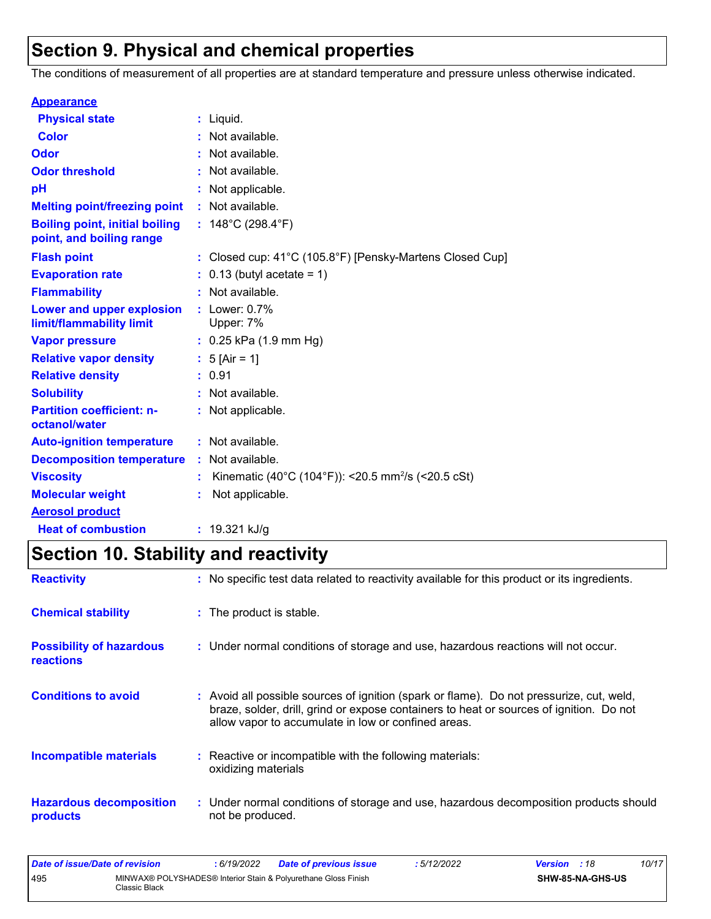# **Section 9. Physical and chemical properties**

The conditions of measurement of all properties are at standard temperature and pressure unless otherwise indicated.

| <b>Appearance</b>                                                 |                                                                |
|-------------------------------------------------------------------|----------------------------------------------------------------|
| <b>Physical state</b>                                             | $:$ Liquid.                                                    |
| <b>Color</b>                                                      | : Not available.                                               |
| <b>Odor</b>                                                       | : Not available.                                               |
| <b>Odor threshold</b>                                             | : Not available.                                               |
| рH                                                                | Not applicable.                                                |
| <b>Melting point/freezing point</b>                               | : Not available.                                               |
| <b>Boiling point, initial boiling</b><br>point, and boiling range | : $148^{\circ}$ C (298.4 $^{\circ}$ F)                         |
| <b>Flash point</b>                                                | : Closed cup: 41°C (105.8°F) [Pensky-Martens Closed Cup]       |
| <b>Evaporation rate</b>                                           | $: 0.13$ (butyl acetate = 1)                                   |
| <b>Flammability</b>                                               | : Not available.                                               |
| Lower and upper explosion<br>limit/flammability limit             | $:$ Lower: $0.7\%$<br>Upper: 7%                                |
| <b>Vapor pressure</b>                                             | $: 0.25$ kPa (1.9 mm Hg)                                       |
| <b>Relative vapor density</b>                                     | : $5$ [Air = 1]                                                |
| <b>Relative density</b>                                           | : 0.91                                                         |
| <b>Solubility</b>                                                 | : Not available.                                               |
| <b>Partition coefficient: n-</b><br>octanol/water                 | : Not applicable.                                              |
| <b>Auto-ignition temperature</b>                                  | : Not available.                                               |
| <b>Decomposition temperature</b>                                  | : Not available.                                               |
| <b>Viscosity</b>                                                  | Kinematic (40°C (104°F)): <20.5 mm <sup>2</sup> /s (<20.5 cSt) |
| <b>Molecular weight</b>                                           | Not applicable.                                                |
| <b>Aerosol product</b>                                            |                                                                |
| <b>Heat of combustion</b>                                         | : $19.321$ kJ/g                                                |

# **Section 10. Stability and reactivity**

| <b>Reactivity</b>                                   | : No specific test data related to reactivity available for this product or its ingredients.                                                                                                                                               |
|-----------------------------------------------------|--------------------------------------------------------------------------------------------------------------------------------------------------------------------------------------------------------------------------------------------|
| <b>Chemical stability</b>                           | : The product is stable.                                                                                                                                                                                                                   |
| <b>Possibility of hazardous</b><br><b>reactions</b> | : Under normal conditions of storage and use, hazardous reactions will not occur.                                                                                                                                                          |
| <b>Conditions to avoid</b>                          | : Avoid all possible sources of ignition (spark or flame). Do not pressurize, cut, weld,<br>braze, solder, drill, grind or expose containers to heat or sources of ignition. Do not<br>allow vapor to accumulate in low or confined areas. |
| <b>Incompatible materials</b>                       | : Reactive or incompatible with the following materials:<br>oxidizing materials                                                                                                                                                            |
| <b>Hazardous decomposition</b><br>products          | : Under normal conditions of storage and use, hazardous decomposition products should<br>not be produced.                                                                                                                                  |

| Date of issue/Date of revision |               | 6/19/2022 | <b>Date of previous issue</b>                                  | : 5/12/2022 | <b>Version</b> : 18 |                  | 10/17 |
|--------------------------------|---------------|-----------|----------------------------------------------------------------|-------------|---------------------|------------------|-------|
| 495                            | Classic Black |           | MINWAX® POLYSHADES® Interior Stain & Polyurethane Gloss Finish |             |                     | SHW-85-NA-GHS-US |       |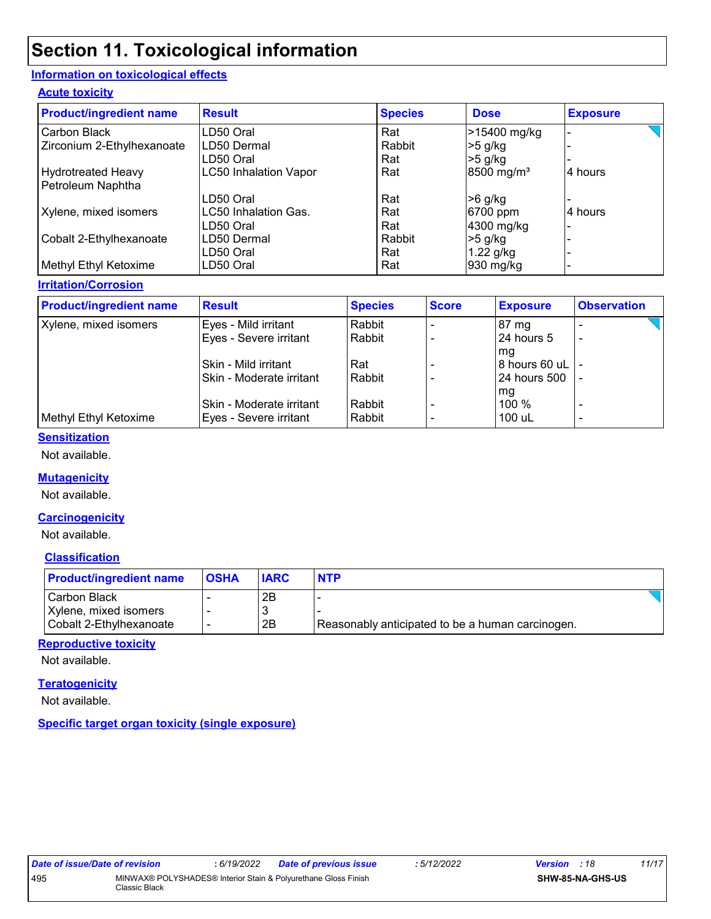## **Section 11. Toxicological information**

#### **Information on toxicological effects**

#### **Acute toxicity**

| <b>Product/ingredient name</b> | <b>Result</b>                | <b>Species</b> | <b>Dose</b>            | <b>Exposure</b> |
|--------------------------------|------------------------------|----------------|------------------------|-----------------|
| Carbon Black                   | LD50 Oral                    | Rat            | >15400 mg/kg           |                 |
| Zirconium 2-Ethylhexanoate     | LD50 Dermal                  | Rabbit         | $>5$ g/kg              |                 |
|                                | LD50 Oral                    | Rat            | $>5$ g/kg              |                 |
| <b>Hydrotreated Heavy</b>      | <b>LC50 Inhalation Vapor</b> | Rat            | 8500 mg/m <sup>3</sup> | l4 hours        |
| Petroleum Naphtha              |                              |                |                        |                 |
|                                | LD50 Oral                    | Rat            | $>6$ g/kg              |                 |
| Xylene, mixed isomers          | <b>LC50 Inhalation Gas.</b>  | Rat            | 6700 ppm               | 4 hours         |
|                                | LD50 Oral                    | Rat            | 4300 mg/kg             |                 |
| Cobalt 2-Ethylhexanoate        | LD50 Dermal                  | Rabbit         | $>5$ g/kg              |                 |
|                                | LD50 Oral                    | Rat            | $1.22$ g/kg            |                 |
| Methyl Ethyl Ketoxime          | LD50 Oral                    | Rat            | 930 mg/kg              |                 |

#### **Irritation/Corrosion**

| <b>Product/ingredient name</b> | <b>Result</b>            | <b>Species</b> | <b>Score</b> | <b>Exposure</b> | <b>Observation</b>       |
|--------------------------------|--------------------------|----------------|--------------|-----------------|--------------------------|
| Xylene, mixed isomers          | Eyes - Mild irritant     | Rabbit         |              | $87 \text{ mg}$ |                          |
|                                | Eyes - Severe irritant   | Rabbit         |              | 24 hours 5      | ٠                        |
|                                |                          |                |              | l mg            |                          |
|                                | Skin - Mild irritant     | Rat            |              | 8 hours 60 uL I |                          |
|                                | Skin - Moderate irritant | Rabbit         |              | 24 hours 500    |                          |
|                                |                          |                |              | mg              |                          |
|                                | Skin - Moderate irritant | Rabbit         |              | 100 %           |                          |
| Methyl Ethyl Ketoxime          | Eyes - Severe irritant   | Rabbit         |              | 100 uL          | $\overline{\phantom{0}}$ |

#### **Sensitization**

Not available.

#### **Mutagenicity**

Not available.

#### **Carcinogenicity**

Not available.

#### **Classification**

| <b>Product/ingredient name</b> | <b>OSHA</b> | <b>IARC</b> | <b>NTP</b>                                       |
|--------------------------------|-------------|-------------|--------------------------------------------------|
| <b>ICarbon Black</b>           |             | 2B          |                                                  |
| Xylene, mixed isomers          |             | ' 3         |                                                  |
| Cobalt 2-Ethylhexanoate        |             | 2B          | Reasonably anticipated to be a human carcinogen. |

#### **Reproductive toxicity**

Not available.

#### **Teratogenicity**

Not available.

#### **Specific target organ toxicity (single exposure)**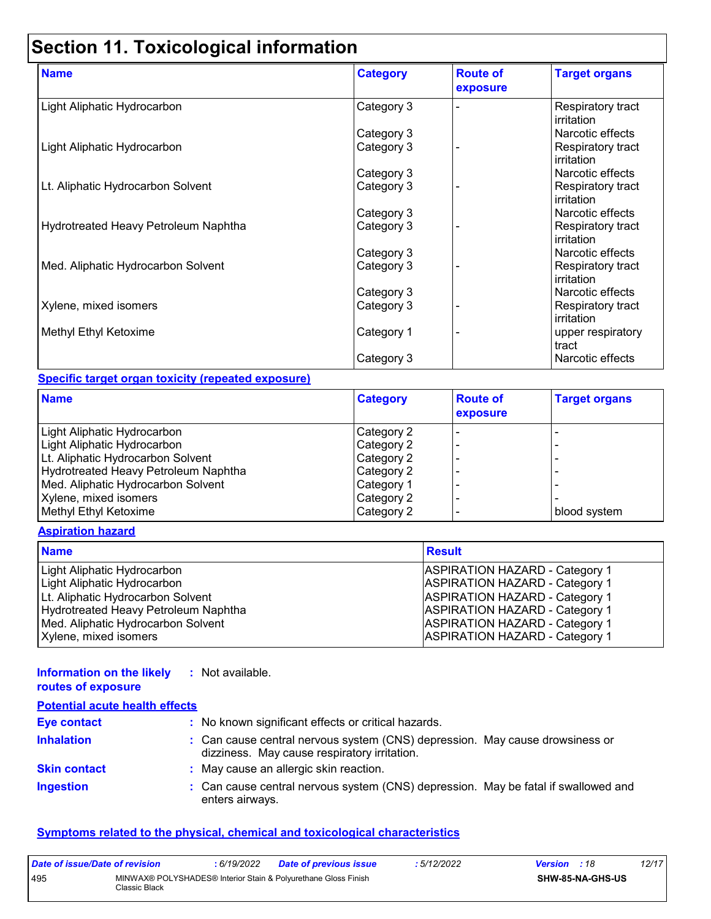# **Section 11. Toxicological information**

| <b>Name</b>                          | <b>Category</b> | <b>Route of</b><br>exposure | <b>Target organs</b>                    |
|--------------------------------------|-----------------|-----------------------------|-----------------------------------------|
| Light Aliphatic Hydrocarbon          | Category 3      |                             | Respiratory tract<br><b>irritation</b>  |
|                                      | Category 3      |                             | Narcotic effects                        |
| Light Aliphatic Hydrocarbon          | Category 3      |                             | Respiratory tract<br><b>lirritation</b> |
|                                      | Category 3      |                             | Narcotic effects                        |
| Lt. Aliphatic Hydrocarbon Solvent    | Category 3      |                             | Respiratory tract<br><b>irritation</b>  |
|                                      | Category 3      |                             | Narcotic effects                        |
| Hydrotreated Heavy Petroleum Naphtha | Category 3      |                             | Respiratory tract<br>irritation         |
|                                      | Category 3      |                             | Narcotic effects                        |
| Med. Aliphatic Hydrocarbon Solvent   | Category 3      |                             | Respiratory tract<br>irritation         |
|                                      | Category 3      |                             | Narcotic effects                        |
| Xylene, mixed isomers                | Category 3      |                             | Respiratory tract<br><b>irritation</b>  |
| Methyl Ethyl Ketoxime                | Category 1      |                             | upper respiratory<br>tract              |
|                                      | Category 3      |                             | Narcotic effects                        |

#### **Specific target organ toxicity (repeated exposure)**

| <b>Category</b> | <b>Route of</b><br>exposure | <b>Target organs</b> |
|-----------------|-----------------------------|----------------------|
| Category 2      |                             |                      |
| Category 2      |                             |                      |
| Category 2      |                             |                      |
| Category 2      |                             |                      |
| Category 1      |                             |                      |
| Category 2      |                             |                      |
| Category 2      |                             | blood system         |
|                 |                             |                      |

#### **Aspiration hazard**

| <b>Name</b>                          | <b>Result</b>                         |
|--------------------------------------|---------------------------------------|
| Light Aliphatic Hydrocarbon          | <b>ASPIRATION HAZARD - Category 1</b> |
| Light Aliphatic Hydrocarbon          | <b>ASPIRATION HAZARD - Category 1</b> |
| Lt. Aliphatic Hydrocarbon Solvent    | <b>ASPIRATION HAZARD - Category 1</b> |
| Hydrotreated Heavy Petroleum Naphtha | <b>ASPIRATION HAZARD - Category 1</b> |
| Med. Aliphatic Hydrocarbon Solvent   | <b>ASPIRATION HAZARD - Category 1</b> |
| Xylene, mixed isomers                | <b>ASPIRATION HAZARD - Category 1</b> |

#### **Information on the likely :** Not available. **routes of exposure**

| <b>Potential acute health effects</b> |                                                                                                                              |
|---------------------------------------|------------------------------------------------------------------------------------------------------------------------------|
| <b>Eye contact</b>                    | : No known significant effects or critical hazards.                                                                          |
| <b>Inhalation</b>                     | : Can cause central nervous system (CNS) depression. May cause drowsiness or<br>dizziness. May cause respiratory irritation. |
| <b>Skin contact</b>                   | : May cause an allergic skin reaction.                                                                                       |
| <b>Ingestion</b>                      | : Can cause central nervous system (CNS) depression. May be fatal if swallowed and<br>enters airways.                        |

#### **Symptoms related to the physical, chemical and toxicological characteristics**

| Date of issue/Date of revision |               | : 6/19/2022 | <b>Date of previous issue</b>                                  | : 5/12/2022 | <b>Version</b> : 18 |                         | 12/17 |
|--------------------------------|---------------|-------------|----------------------------------------------------------------|-------------|---------------------|-------------------------|-------|
| 495                            | Classic Black |             | MINWAX® POLYSHADES® Interior Stain & Polyurethane Gloss Finish |             |                     | <b>SHW-85-NA-GHS-US</b> |       |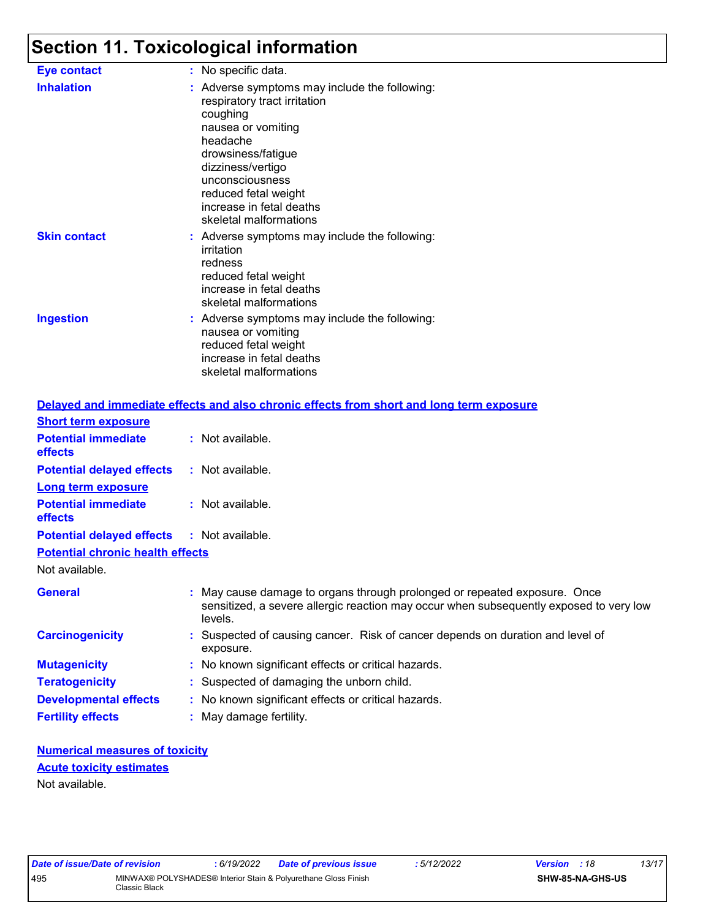# **Section 11. Toxicological information**

| <b>Eye contact</b>  | : No specific data.                                                                                                                                                                                                                                                     |
|---------------------|-------------------------------------------------------------------------------------------------------------------------------------------------------------------------------------------------------------------------------------------------------------------------|
| <b>Inhalation</b>   | : Adverse symptoms may include the following:<br>respiratory tract irritation<br>coughing<br>nausea or vomiting<br>headache<br>drowsiness/fatigue<br>dizziness/vertigo<br>unconsciousness<br>reduced fetal weight<br>increase in fetal deaths<br>skeletal malformations |
| <b>Skin contact</b> | : Adverse symptoms may include the following:<br>irritation<br>redness<br>reduced fetal weight<br>increase in fetal deaths<br>skeletal malformations                                                                                                                    |
| <b>Ingestion</b>    | : Adverse symptoms may include the following:<br>nausea or vomiting<br>reduced fetal weight<br>increase in fetal deaths<br>skeletal malformations                                                                                                                       |

|                                                   | Delayed and immediate effects and also chronic effects from short and long term exposure                                                                                       |
|---------------------------------------------------|--------------------------------------------------------------------------------------------------------------------------------------------------------------------------------|
| <b>Short term exposure</b>                        |                                                                                                                                                                                |
| <b>Potential immediate</b><br><b>effects</b>      | : Not available.                                                                                                                                                               |
| <b>Potential delayed effects</b>                  | : Not available.                                                                                                                                                               |
| <b>Long term exposure</b>                         |                                                                                                                                                                                |
| <b>Potential immediate</b><br><b>effects</b>      | $:$ Not available.                                                                                                                                                             |
| <b>Potential delayed effects : Not available.</b> |                                                                                                                                                                                |
| <b>Potential chronic health effects</b>           |                                                                                                                                                                                |
| Not available.                                    |                                                                                                                                                                                |
| <b>General</b>                                    | : May cause damage to organs through prolonged or repeated exposure. Once<br>sensitized, a severe allergic reaction may occur when subsequently exposed to very low<br>levels. |
| <b>Carcinogenicity</b>                            | : Suspected of causing cancer. Risk of cancer depends on duration and level of<br>exposure.                                                                                    |
| <b>Mutagenicity</b>                               | : No known significant effects or critical hazards.                                                                                                                            |
| <b>Teratogenicity</b>                             | : Suspected of damaging the unborn child.                                                                                                                                      |
| <b>Developmental effects</b>                      | : No known significant effects or critical hazards.                                                                                                                            |
| <b>Fertility effects</b>                          | : May damage fertility.                                                                                                                                                        |

#### **Numerical measures of toxicity** Not available. **Acute toxicity estimates**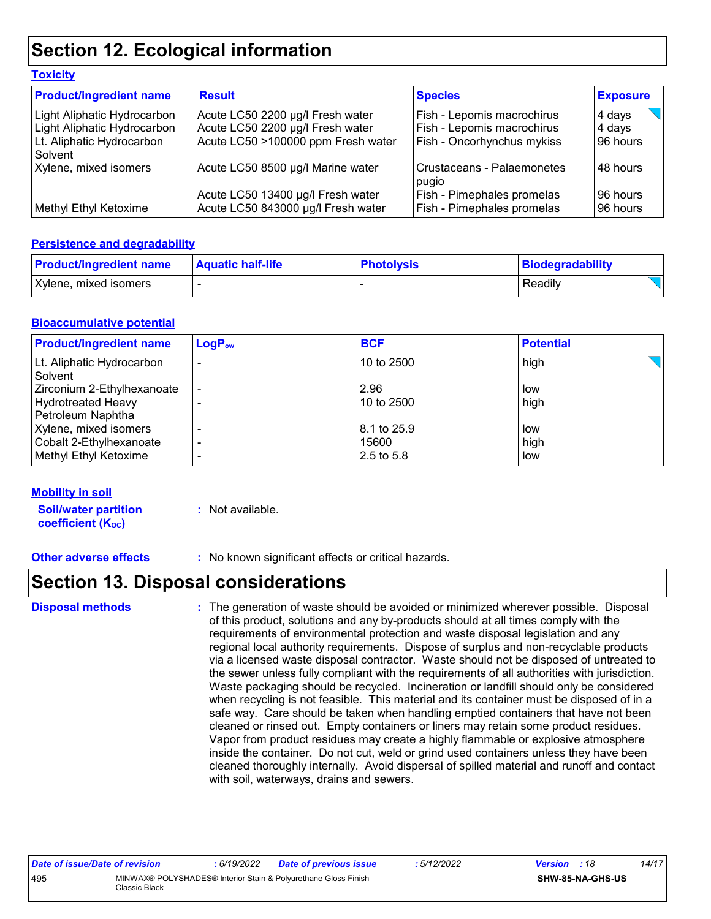## **Section 12. Ecological information**

| <b>Product/ingredient name</b>       | <b>Result</b>                      | <b>Species</b>                      | <b>Exposure</b> |
|--------------------------------------|------------------------------------|-------------------------------------|-----------------|
| Light Aliphatic Hydrocarbon          | Acute LC50 2200 µg/l Fresh water   | Fish - Lepomis macrochirus          | 4 days          |
| Light Aliphatic Hydrocarbon          | Acute LC50 2200 µg/l Fresh water   | Fish - Lepomis macrochirus          | 4 days          |
| Lt. Aliphatic Hydrocarbon<br>Solvent | Acute LC50 >100000 ppm Fresh water | <b>Fish - Oncorhynchus mykiss</b>   | 96 hours        |
| Xylene, mixed isomers                | Acute LC50 8500 µg/l Marine water  | Crustaceans - Palaemonetes<br>pugio | 48 hours        |
|                                      | Acute LC50 13400 µg/l Fresh water  | <b>Fish - Pimephales promelas</b>   | 96 hours        |
| Methyl Ethyl Ketoxime                | Acute LC50 843000 µg/l Fresh water | <b>Fish - Pimephales promelas</b>   | 96 hours        |

#### **Persistence and degradability**

**Toxicity**

| <b>Product/ingredient name</b> | <b>Aquatic half-life</b> | <b>Photolysis</b> | Biodegradability |
|--------------------------------|--------------------------|-------------------|------------------|
| Xylene, mixed isomers          |                          |                   | Readily          |

#### **Bioaccumulative potential**

| <b>Product/ingredient name</b>                                               | $LogP_{ow}$    | <b>BCF</b>                           | <b>Potential</b>   |
|------------------------------------------------------------------------------|----------------|--------------------------------------|--------------------|
| Lt. Aliphatic Hydrocarbon<br>Solvent                                         |                | 10 to 2500                           | high               |
| Zirconium 2-Ethylhexanoate<br><b>Hydrotreated Heavy</b><br>Petroleum Naphtha | $\blacksquare$ | 2.96<br>$10$ to 2500                 | low<br>high        |
| Xylene, mixed isomers<br>Cobalt 2-Ethylhexanoate<br>Methyl Ethyl Ketoxime    |                | 8.1 to 25.9<br>15600<br>$2.5$ to 5.8 | low<br>high<br>low |

#### **Mobility in soil**

**Soil/water partition coefficient (K**<sub>oc</sub>)

**:** Not available.

**Other adverse effects :** No known significant effects or critical hazards.

### **Section 13. Disposal considerations**

The generation of waste should be avoided or minimized wherever possible. Disposal of this product, solutions and any by-products should at all times comply with the requirements of environmental protection and waste disposal legislation and any regional local authority requirements. Dispose of surplus and non-recyclable products via a licensed waste disposal contractor. Waste should not be disposed of untreated to the sewer unless fully compliant with the requirements of all authorities with jurisdiction. Waste packaging should be recycled. Incineration or landfill should only be considered when recycling is not feasible. This material and its container must be disposed of in a safe way. Care should be taken when handling emptied containers that have not been cleaned or rinsed out. Empty containers or liners may retain some product residues. Vapor from product residues may create a highly flammable or explosive atmosphere inside the container. Do not cut, weld or grind used containers unless they have been cleaned thoroughly internally. Avoid dispersal of spilled material and runoff and contact with soil, waterways, drains and sewers. **Disposal methods :**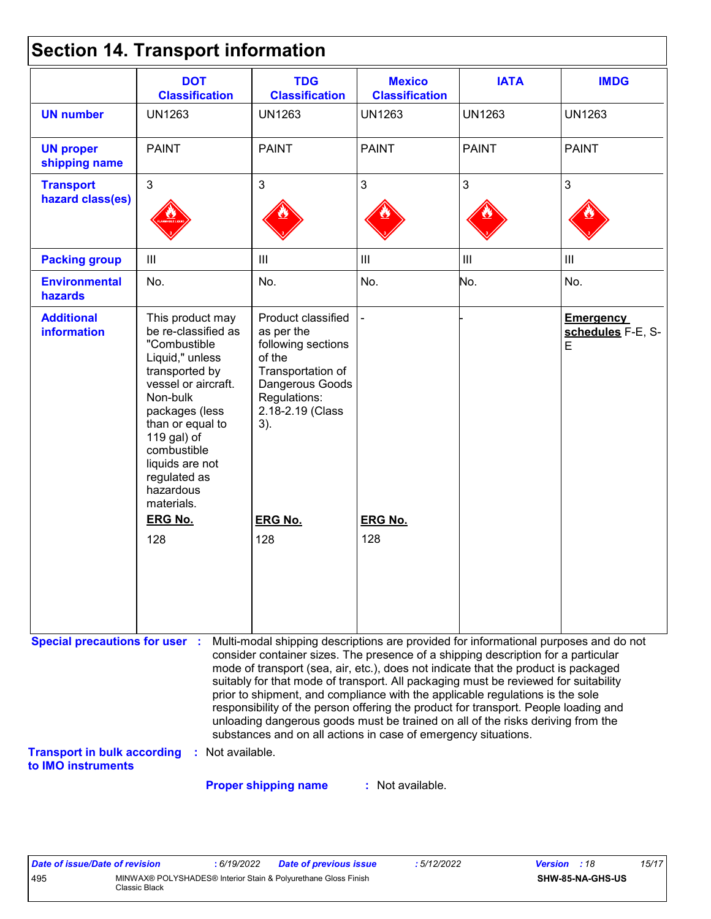|  | <b>Section 14. Transport information</b> |  |
|--|------------------------------------------|--|
|--|------------------------------------------|--|

|                                                                                                   | <b>DOT</b><br><b>Classification</b>                                                                                                                                                                                                                               | <b>TDG</b><br><b>Classification</b>                                                                                                                                                                                                                                                                                                                                                                                                                                                                                                                                                                                                                                                 | <b>Mexico</b><br><b>Classification</b> | <b>IATA</b>    | <b>IMDG</b>                                |
|---------------------------------------------------------------------------------------------------|-------------------------------------------------------------------------------------------------------------------------------------------------------------------------------------------------------------------------------------------------------------------|-------------------------------------------------------------------------------------------------------------------------------------------------------------------------------------------------------------------------------------------------------------------------------------------------------------------------------------------------------------------------------------------------------------------------------------------------------------------------------------------------------------------------------------------------------------------------------------------------------------------------------------------------------------------------------------|----------------------------------------|----------------|--------------------------------------------|
| <b>UN number</b>                                                                                  | <b>UN1263</b>                                                                                                                                                                                                                                                     | <b>UN1263</b>                                                                                                                                                                                                                                                                                                                                                                                                                                                                                                                                                                                                                                                                       | <b>UN1263</b>                          | <b>UN1263</b>  | <b>UN1263</b>                              |
| <b>UN proper</b><br>shipping name                                                                 | <b>PAINT</b>                                                                                                                                                                                                                                                      | <b>PAINT</b>                                                                                                                                                                                                                                                                                                                                                                                                                                                                                                                                                                                                                                                                        | <b>PAINT</b>                           | <b>PAINT</b>   | <b>PAINT</b>                               |
| <b>Transport</b><br>hazard class(es)                                                              | $\overline{3}$                                                                                                                                                                                                                                                    | $\mathbf{3}$                                                                                                                                                                                                                                                                                                                                                                                                                                                                                                                                                                                                                                                                        | $\mathfrak{S}$                         | $\overline{3}$ | 3                                          |
| <b>Packing group</b>                                                                              | $\mathbf{III}$                                                                                                                                                                                                                                                    | $\begin{array}{c} \hline \end{array}$                                                                                                                                                                                                                                                                                                                                                                                                                                                                                                                                                                                                                                               | $\mathop{\rm III}$                     | Ш              | Ш                                          |
| <b>Environmental</b><br>hazards                                                                   | No.                                                                                                                                                                                                                                                               | No.                                                                                                                                                                                                                                                                                                                                                                                                                                                                                                                                                                                                                                                                                 | No.                                    | No.            | No.                                        |
| <b>Additional</b><br><b>information</b>                                                           | This product may<br>be re-classified as<br>"Combustible<br>Liquid," unless<br>transported by<br>vessel or aircraft.<br>Non-bulk<br>packages (less<br>than or equal to<br>119 gal) of<br>combustible<br>liquids are not<br>regulated as<br>hazardous<br>materials. | Product classified<br>as per the<br>following sections<br>of the<br>Transportation of<br>Dangerous Goods<br>Regulations:<br>2.18-2.19 (Class<br>$3)$ .                                                                                                                                                                                                                                                                                                                                                                                                                                                                                                                              |                                        |                | <b>Emergency</b><br>schedules F-E, S-<br>E |
|                                                                                                   | <b>ERG No.</b>                                                                                                                                                                                                                                                    | <b>ERG No.</b>                                                                                                                                                                                                                                                                                                                                                                                                                                                                                                                                                                                                                                                                      | <b>ERG No.</b>                         |                |                                            |
|                                                                                                   | 128                                                                                                                                                                                                                                                               | 128                                                                                                                                                                                                                                                                                                                                                                                                                                                                                                                                                                                                                                                                                 | 128                                    |                |                                            |
| <b>Special precautions for user :</b><br><b>Transport in bulk according</b><br>to IMO instruments | : Not available.                                                                                                                                                                                                                                                  | Multi-modal shipping descriptions are provided for informational purposes and do not<br>consider container sizes. The presence of a shipping description for a particular<br>mode of transport (sea, air, etc.), does not indicate that the product is packaged<br>suitably for that mode of transport. All packaging must be reviewed for suitability<br>prior to shipment, and compliance with the applicable regulations is the sole<br>responsibility of the person offering the product for transport. People loading and<br>unloading dangerous goods must be trained on all of the risks deriving from the<br>substances and on all actions in case of emergency situations. |                                        |                |                                            |

**Proper shipping name :**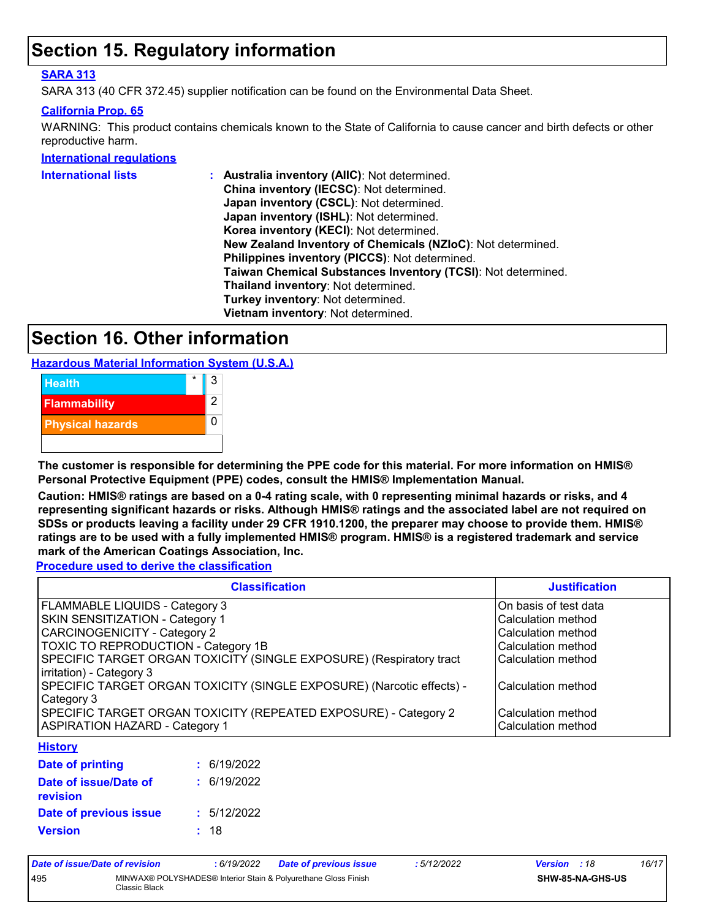### **Section 15. Regulatory information**

#### **SARA 313**

SARA 313 (40 CFR 372.45) supplier notification can be found on the Environmental Data Sheet.

#### **California Prop. 65**

WARNING: This product contains chemicals known to the State of California to cause cancer and birth defects or other reproductive harm.

#### **International regulations**

| International lists | : Australia inventory (AIIC): Not determined.                |
|---------------------|--------------------------------------------------------------|
|                     | China inventory (IECSC): Not determined.                     |
|                     | Japan inventory (CSCL): Not determined.                      |
|                     | Japan inventory (ISHL): Not determined.                      |
|                     | Korea inventory (KECI): Not determined.                      |
|                     | New Zealand Inventory of Chemicals (NZIoC): Not determined.  |
|                     | Philippines inventory (PICCS): Not determined.               |
|                     | Taiwan Chemical Substances Inventory (TCSI): Not determined. |
|                     | Thailand inventory: Not determined.                          |
|                     | Turkey inventory: Not determined.                            |
|                     | Vietnam inventory: Not determined.                           |
|                     |                                                              |

### **Section 16. Other information**

**Hazardous Material Information System (U.S.A.)**



**The customer is responsible for determining the PPE code for this material. For more information on HMIS® Personal Protective Equipment (PPE) codes, consult the HMIS® Implementation Manual.**

**Caution: HMIS® ratings are based on a 0-4 rating scale, with 0 representing minimal hazards or risks, and 4 representing significant hazards or risks. Although HMIS® ratings and the associated label are not required on SDSs or products leaving a facility under 29 CFR 1910.1200, the preparer may choose to provide them. HMIS® ratings are to be used with a fully implemented HMIS® program. HMIS® is a registered trademark and service mark of the American Coatings Association, Inc.**

**Procedure used to derive the classification**

| <b>Classification</b>                                                                           | <b>Justification</b>  |
|-------------------------------------------------------------------------------------------------|-----------------------|
| FLAMMABLE LIQUIDS - Category 3                                                                  | On basis of test data |
| <b>SKIN SENSITIZATION - Category 1</b>                                                          | Calculation method    |
| <b>CARCINOGENICITY - Category 2</b>                                                             | Calculation method    |
| TOXIC TO REPRODUCTION - Category 1B                                                             | Calculation method    |
| SPECIFIC TARGET ORGAN TOXICITY (SINGLE EXPOSURE) (Respiratory tract<br>irritation) - Category 3 | Calculation method    |
| SPECIFIC TARGET ORGAN TOXICITY (SINGLE EXPOSURE) (Narcotic effects) -<br>Category 3             | Calculation method    |
| SPECIFIC TARGET ORGAN TOXICITY (REPEATED EXPOSURE) - Category 2                                 | Calculation method    |
| <b>ASPIRATION HAZARD - Category 1</b>                                                           | Calculation method    |
| <b>Hietomi</b>                                                                                  |                       |

#### **History**

| Date of printing                         | : 6/19/2022 |
|------------------------------------------|-------------|
| Date of issue/Date of<br><b>revision</b> | : 6/19/2022 |
| Date of previous issue                   | : 5/12/2022 |
| <b>Version</b>                           | : 18        |

| Date of issue/Date of revision |                                                                | 6/19/2022 | Date of previous issue | : 5/12/2022      | <b>Version</b> : 18 |  | 16/17 |
|--------------------------------|----------------------------------------------------------------|-----------|------------------------|------------------|---------------------|--|-------|
| 495                            | MINWAX® POLYSHADES® Interior Stain & Polyurethane Gloss Finish |           |                        | SHW-85-NA-GHS-US |                     |  |       |
|                                | Classic Black                                                  |           |                        |                  |                     |  |       |